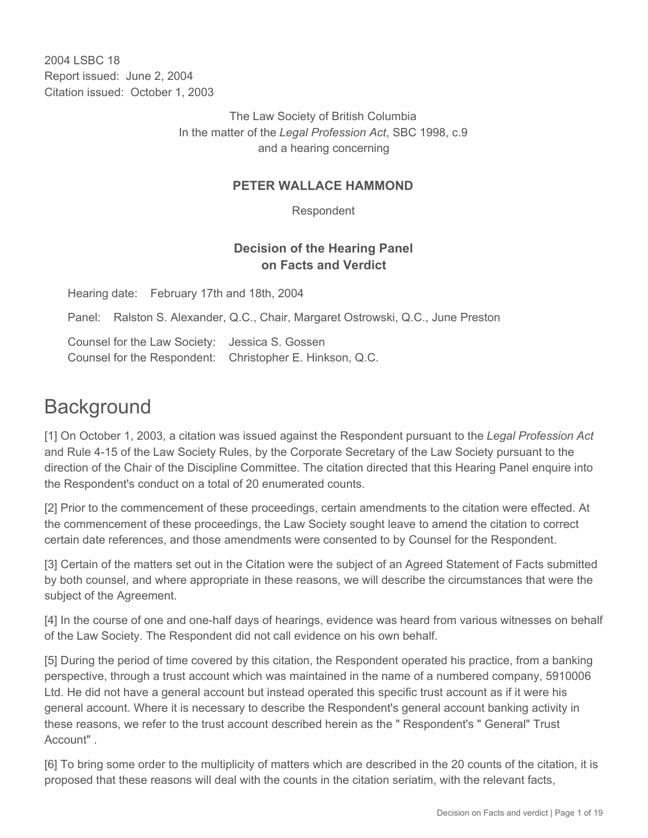2004 LSBC 18 Report issued: June 2, 2004 Citation issued: October 1, 2003

> The Law Society of British Columbia In the matter of the *Legal Profession Act*, SBC 1998, c.9 and a hearing concerning

#### **PETER WALLACE HAMMOND**

Respondent

# **Decision of the Hearing Panel on Facts and Verdict**

Hearing date: February 17th and 18th, 2004

Panel: Ralston S. Alexander, Q.C., Chair, Margaret Ostrowski, Q.C., June Preston

Counsel for the Law Society: Jessica S. Gossen Counsel for the Respondent: Christopher E. Hinkson, Q.C.

# **Background**

[1] On October 1, 2003, a citation was issued against the Respondent pursuant to the *Legal Profession Act*  and Rule 4-15 of the Law Society Rules, by the Corporate Secretary of the Law Society pursuant to the direction of the Chair of the Discipline Committee. The citation directed that this Hearing Panel enquire into the Respondent's conduct on a total of 20 enumerated counts.

[2] Prior to the commencement of these proceedings, certain amendments to the citation were effected. At the commencement of these proceedings, the Law Society sought leave to amend the citation to correct certain date references, and those amendments were consented to by Counsel for the Respondent.

[3] Certain of the matters set out in the Citation were the subject of an Agreed Statement of Facts submitted by both counsel, and where appropriate in these reasons, we will describe the circumstances that were the subject of the Agreement.

[4] In the course of one and one-half days of hearings, evidence was heard from various witnesses on behalf of the Law Society. The Respondent did not call evidence on his own behalf.

[5] During the period of time covered by this citation, the Respondent operated his practice, from a banking perspective, through a trust account which was maintained in the name of a numbered company, 5910006 Ltd. He did not have a general account but instead operated this specific trust account as if it were his general account. Where it is necessary to describe the Respondent's general account banking activity in these reasons, we refer to the trust account described herein as the " Respondent's " General" Trust Account" .

[6] To bring some order to the multiplicity of matters which are described in the 20 counts of the citation, it is proposed that these reasons will deal with the counts in the citation seriatim, with the relevant facts,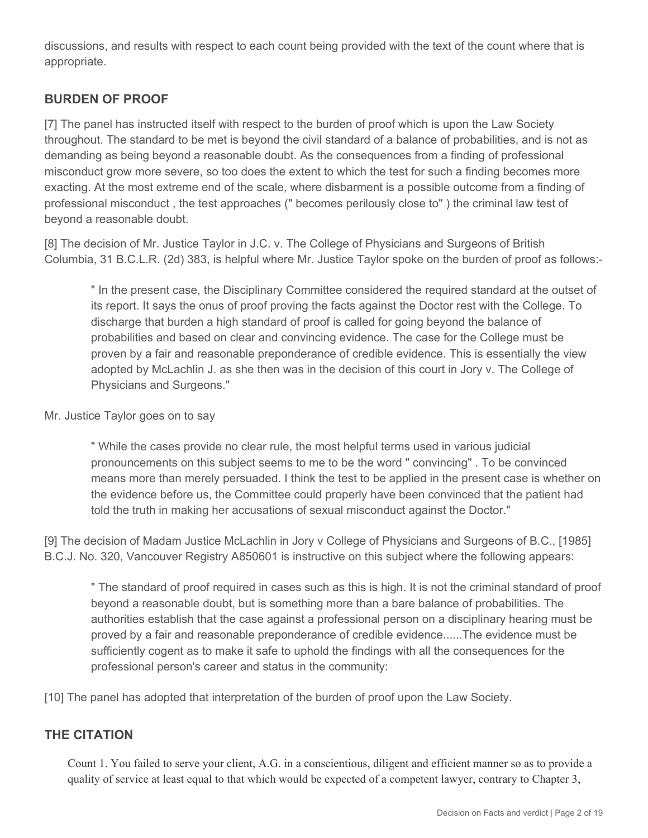discussions, and results with respect to each count being provided with the text of the count where that is appropriate.

# **BURDEN OF PROOF**

[7] The panel has instructed itself with respect to the burden of proof which is upon the Law Society throughout. The standard to be met is beyond the civil standard of a balance of probabilities, and is not as demanding as being beyond a reasonable doubt. As the consequences from a finding of professional misconduct grow more severe, so too does the extent to which the test for such a finding becomes more exacting. At the most extreme end of the scale, where disbarment is a possible outcome from a finding of professional misconduct , the test approaches (" becomes perilously close to" ) the criminal law test of beyond a reasonable doubt.

[8] The decision of Mr. Justice Taylor in J.C. v. The College of Physicians and Surgeons of British Columbia, 31 B.C.L.R. (2d) 383, is helpful where Mr. Justice Taylor spoke on the burden of proof as follows:-

" In the present case, the Disciplinary Committee considered the required standard at the outset of its report. It says the onus of proof proving the facts against the Doctor rest with the College. To discharge that burden a high standard of proof is called for going beyond the balance of probabilities and based on clear and convincing evidence. The case for the College must be proven by a fair and reasonable preponderance of credible evidence. This is essentially the view adopted by McLachlin J. as she then was in the decision of this court in Jory v. The College of Physicians and Surgeons."

#### Mr. Justice Taylor goes on to say

" While the cases provide no clear rule, the most helpful terms used in various judicial pronouncements on this subject seems to me to be the word " convincing" . To be convinced means more than merely persuaded. I think the test to be applied in the present case is whether on the evidence before us, the Committee could properly have been convinced that the patient had told the truth in making her accusations of sexual misconduct against the Doctor."

[9] The decision of Madam Justice McLachlin in Jory v College of Physicians and Surgeons of B.C., [1985] B.C.J. No. 320, Vancouver Registry A850601 is instructive on this subject where the following appears:

" The standard of proof required in cases such as this is high. It is not the criminal standard of proof beyond a reasonable doubt, but is something more than a bare balance of probabilities. The authorities establish that the case against a professional person on a disciplinary hearing must be proved by a fair and reasonable preponderance of credible evidence......The evidence must be sufficiently cogent as to make it safe to uphold the findings with all the consequences for the professional person's career and status in the community:

[10] The panel has adopted that interpretation of the burden of proof upon the Law Society.

# **THE CITATION**

Count 1. You failed to serve your client, A.G. in a conscientious, diligent and efficient manner so as to provide a quality of service at least equal to that which would be expected of a competent lawyer, contrary to Chapter 3,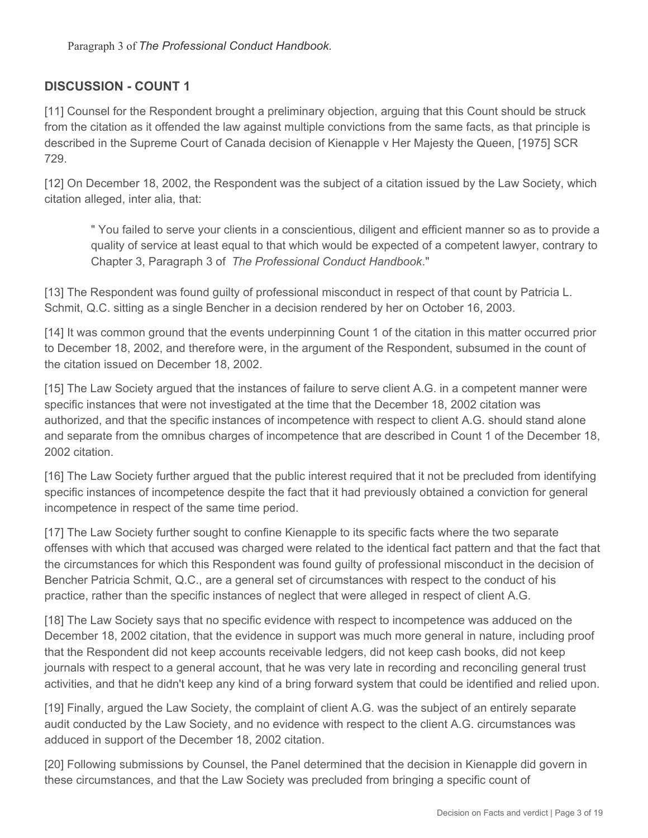# **DISCUSSION - COUNT 1**

[11] Counsel for the Respondent brought a preliminary objection, arguing that this Count should be struck from the citation as it offended the law against multiple convictions from the same facts, as that principle is described in the Supreme Court of Canada decision of Kienapple v Her Majesty the Queen, [1975] SCR 729.

[12] On December 18, 2002, the Respondent was the subject of a citation issued by the Law Society, which citation alleged, inter alia, that:

" You failed to serve your clients in a conscientious, diligent and efficient manner so as to provide a quality of service at least equal to that which would be expected of a competent lawyer, contrary to Chapter 3, Paragraph 3 of *The Professional Conduct Handbook*."

[13] The Respondent was found guilty of professional misconduct in respect of that count by Patricia L. Schmit, Q.C. sitting as a single Bencher in a decision rendered by her on October 16, 2003.

[14] It was common ground that the events underpinning Count 1 of the citation in this matter occurred prior to December 18, 2002, and therefore were, in the argument of the Respondent, subsumed in the count of the citation issued on December 18, 2002.

[15] The Law Society argued that the instances of failure to serve client A.G. in a competent manner were specific instances that were not investigated at the time that the December 18, 2002 citation was authorized, and that the specific instances of incompetence with respect to client A.G. should stand alone and separate from the omnibus charges of incompetence that are described in Count 1 of the December 18, 2002 citation.

[16] The Law Society further argued that the public interest required that it not be precluded from identifying specific instances of incompetence despite the fact that it had previously obtained a conviction for general incompetence in respect of the same time period.

[17] The Law Society further sought to confine Kienapple to its specific facts where the two separate offenses with which that accused was charged were related to the identical fact pattern and that the fact that the circumstances for which this Respondent was found guilty of professional misconduct in the decision of Bencher Patricia Schmit, Q.C., are a general set of circumstances with respect to the conduct of his practice, rather than the specific instances of neglect that were alleged in respect of client A.G.

[18] The Law Society says that no specific evidence with respect to incompetence was adduced on the December 18, 2002 citation, that the evidence in support was much more general in nature, including proof that the Respondent did not keep accounts receivable ledgers, did not keep cash books, did not keep journals with respect to a general account, that he was very late in recording and reconciling general trust activities, and that he didn't keep any kind of a bring forward system that could be identified and relied upon.

[19] Finally, argued the Law Society, the complaint of client A.G. was the subject of an entirely separate audit conducted by the Law Society, and no evidence with respect to the client A.G. circumstances was adduced in support of the December 18, 2002 citation.

[20] Following submissions by Counsel, the Panel determined that the decision in Kienapple did govern in these circumstances, and that the Law Society was precluded from bringing a specific count of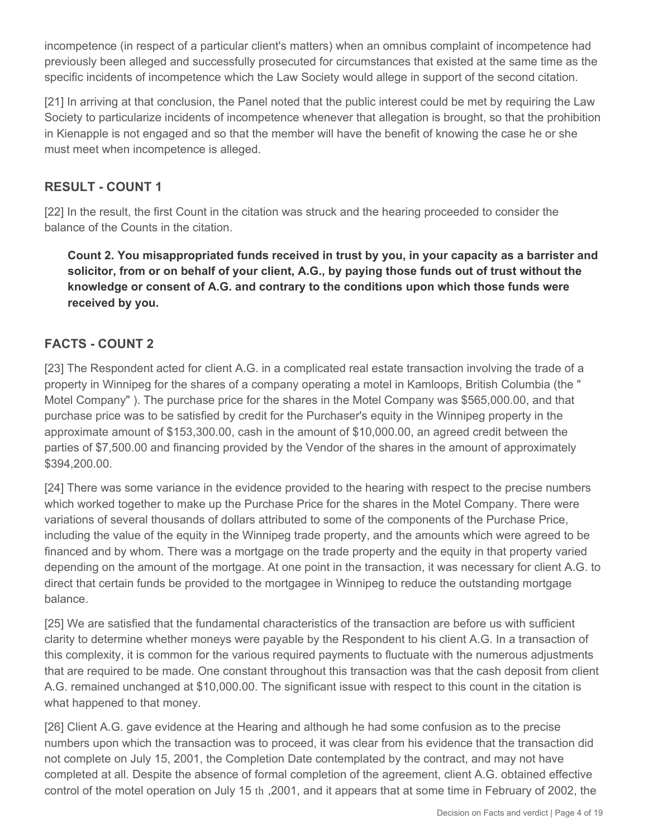incompetence (in respect of a particular client's matters) when an omnibus complaint of incompetence had previously been alleged and successfully prosecuted for circumstances that existed at the same time as the specific incidents of incompetence which the Law Society would allege in support of the second citation.

[21] In arriving at that conclusion, the Panel noted that the public interest could be met by requiring the Law Society to particularize incidents of incompetence whenever that allegation is brought, so that the prohibition in Kienapple is not engaged and so that the member will have the benefit of knowing the case he or she must meet when incompetence is alleged.

# **RESULT - COUNT 1**

[22] In the result, the first Count in the citation was struck and the hearing proceeded to consider the balance of the Counts in the citation.

**Count 2. You misappropriated funds received in trust by you, in your capacity as a barrister and solicitor, from or on behalf of your client, A.G., by paying those funds out of trust without the knowledge or consent of A.G. and contrary to the conditions upon which those funds were received by you.**

# **FACTS - COUNT 2**

[23] The Respondent acted for client A.G. in a complicated real estate transaction involving the trade of a property in Winnipeg for the shares of a company operating a motel in Kamloops, British Columbia (the " Motel Company" ). The purchase price for the shares in the Motel Company was \$565,000.00, and that purchase price was to be satisfied by credit for the Purchaser's equity in the Winnipeg property in the approximate amount of \$153,300.00, cash in the amount of \$10,000.00, an agreed credit between the parties of \$7,500.00 and financing provided by the Vendor of the shares in the amount of approximately \$394,200.00.

[24] There was some variance in the evidence provided to the hearing with respect to the precise numbers which worked together to make up the Purchase Price for the shares in the Motel Company. There were variations of several thousands of dollars attributed to some of the components of the Purchase Price, including the value of the equity in the Winnipeg trade property, and the amounts which were agreed to be financed and by whom. There was a mortgage on the trade property and the equity in that property varied depending on the amount of the mortgage. At one point in the transaction, it was necessary for client A.G. to direct that certain funds be provided to the mortgagee in Winnipeg to reduce the outstanding mortgage balance.

[25] We are satisfied that the fundamental characteristics of the transaction are before us with sufficient clarity to determine whether moneys were payable by the Respondent to his client A.G. In a transaction of this complexity, it is common for the various required payments to fluctuate with the numerous adjustments that are required to be made. One constant throughout this transaction was that the cash deposit from client A.G. remained unchanged at \$10,000.00. The significant issue with respect to this count in the citation is what happened to that money.

[26] Client A.G. gave evidence at the Hearing and although he had some confusion as to the precise numbers upon which the transaction was to proceed, it was clear from his evidence that the transaction did not complete on July 15, 2001, the Completion Date contemplated by the contract, and may not have completed at all. Despite the absence of formal completion of the agreement, client A.G. obtained effective control of the motel operation on July 15 th ,2001, and it appears that at some time in February of 2002, the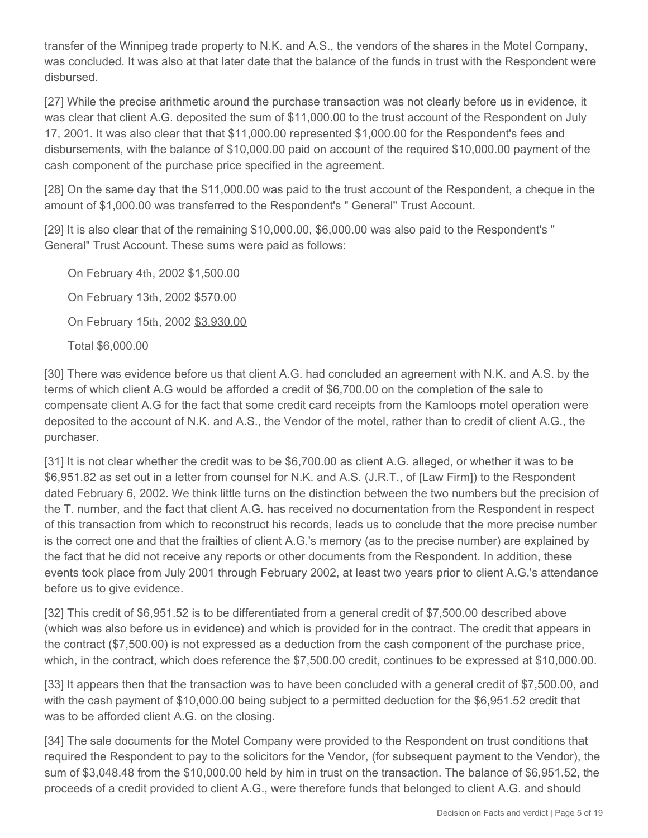transfer of the Winnipeg trade property to N.K. and A.S., the vendors of the shares in the Motel Company, was concluded. It was also at that later date that the balance of the funds in trust with the Respondent were disbursed.

[27] While the precise arithmetic around the purchase transaction was not clearly before us in evidence, it was clear that client A.G. deposited the sum of \$11,000.00 to the trust account of the Respondent on July 17, 2001. It was also clear that that \$11,000.00 represented \$1,000.00 for the Respondent's fees and disbursements, with the balance of \$10,000.00 paid on account of the required \$10,000.00 payment of the cash component of the purchase price specified in the agreement.

[28] On the same day that the \$11,000.00 was paid to the trust account of the Respondent, a cheque in the amount of \$1,000.00 was transferred to the Respondent's " General" Trust Account.

[29] It is also clear that of the remaining \$10,000.00, \$6,000.00 was also paid to the Respondent's " General" Trust Account. These sums were paid as follows:

On February 4th, 2002 \$1,500.00 On February 13th, 2002 \$570.00 On February 15th, 2002 \$3,930.00 Total \$6,000.00

[30] There was evidence before us that client A.G. had concluded an agreement with N.K. and A.S. by the terms of which client A.G would be afforded a credit of \$6,700.00 on the completion of the sale to compensate client A.G for the fact that some credit card receipts from the Kamloops motel operation were deposited to the account of N.K. and A.S., the Vendor of the motel, rather than to credit of client A.G., the purchaser.

[31] It is not clear whether the credit was to be \$6,700.00 as client A.G. alleged, or whether it was to be \$6,951.82 as set out in a letter from counsel for N.K. and A.S. (J.R.T., of [Law Firm]) to the Respondent dated February 6, 2002. We think little turns on the distinction between the two numbers but the precision of the T. number, and the fact that client A.G. has received no documentation from the Respondent in respect of this transaction from which to reconstruct his records, leads us to conclude that the more precise number is the correct one and that the frailties of client A.G.'s memory (as to the precise number) are explained by the fact that he did not receive any reports or other documents from the Respondent. In addition, these events took place from July 2001 through February 2002, at least two years prior to client A.G.'s attendance before us to give evidence.

[32] This credit of \$6,951.52 is to be differentiated from a general credit of \$7,500.00 described above (which was also before us in evidence) and which is provided for in the contract. The credit that appears in the contract (\$7,500.00) is not expressed as a deduction from the cash component of the purchase price, which, in the contract, which does reference the \$7,500.00 credit, continues to be expressed at \$10,000.00.

[33] It appears then that the transaction was to have been concluded with a general credit of \$7,500.00, and with the cash payment of \$10,000.00 being subject to a permitted deduction for the \$6,951.52 credit that was to be afforded client A.G. on the closing.

[34] The sale documents for the Motel Company were provided to the Respondent on trust conditions that required the Respondent to pay to the solicitors for the Vendor, (for subsequent payment to the Vendor), the sum of \$3,048.48 from the \$10,000.00 held by him in trust on the transaction. The balance of \$6,951.52, the proceeds of a credit provided to client A.G., were therefore funds that belonged to client A.G. and should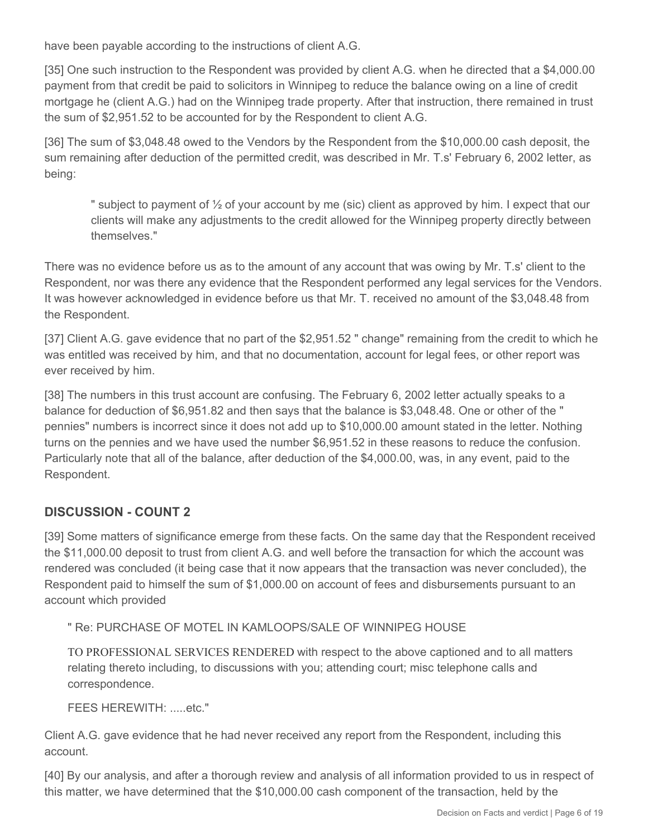have been payable according to the instructions of client A.G.

[35] One such instruction to the Respondent was provided by client A.G. when he directed that a \$4,000.00 payment from that credit be paid to solicitors in Winnipeg to reduce the balance owing on a line of credit mortgage he (client A.G.) had on the Winnipeg trade property. After that instruction, there remained in trust the sum of \$2,951.52 to be accounted for by the Respondent to client A.G.

[36] The sum of \$3,048.48 owed to the Vendors by the Respondent from the \$10,000.00 cash deposit, the sum remaining after deduction of the permitted credit, was described in Mr. T.s' February 6, 2002 letter, as being:

" subject to payment of  $\frac{1}{2}$  of your account by me (sic) client as approved by him. I expect that our clients will make any adjustments to the credit allowed for the Winnipeg property directly between themselves."

There was no evidence before us as to the amount of any account that was owing by Mr. T.s' client to the Respondent, nor was there any evidence that the Respondent performed any legal services for the Vendors. It was however acknowledged in evidence before us that Mr. T. received no amount of the \$3,048.48 from the Respondent.

[37] Client A.G. gave evidence that no part of the \$2,951.52 " change" remaining from the credit to which he was entitled was received by him, and that no documentation, account for legal fees, or other report was ever received by him.

[38] The numbers in this trust account are confusing. The February 6, 2002 letter actually speaks to a balance for deduction of \$6,951.82 and then says that the balance is \$3,048.48. One or other of the " pennies" numbers is incorrect since it does not add up to \$10,000.00 amount stated in the letter. Nothing turns on the pennies and we have used the number \$6,951.52 in these reasons to reduce the confusion. Particularly note that all of the balance, after deduction of the \$4,000.00, was, in any event, paid to the Respondent.

# **DISCUSSION - COUNT 2**

[39] Some matters of significance emerge from these facts. On the same day that the Respondent received the \$11,000.00 deposit to trust from client A.G. and well before the transaction for which the account was rendered was concluded (it being case that it now appears that the transaction was never concluded), the Respondent paid to himself the sum of \$1,000.00 on account of fees and disbursements pursuant to an account which provided

" Re: PURCHASE OF MOTEL IN KAMLOOPS/SALE OF WINNIPEG HOUSE

TO PROFESSIONAL SERVICES RENDERED with respect to the above captioned and to all matters relating thereto including, to discussions with you; attending court; misc telephone calls and correspondence.

FEES HEREWITH: .....etc."

Client A.G. gave evidence that he had never received any report from the Respondent, including this account.

[40] By our analysis, and after a thorough review and analysis of all information provided to us in respect of this matter, we have determined that the \$10,000.00 cash component of the transaction, held by the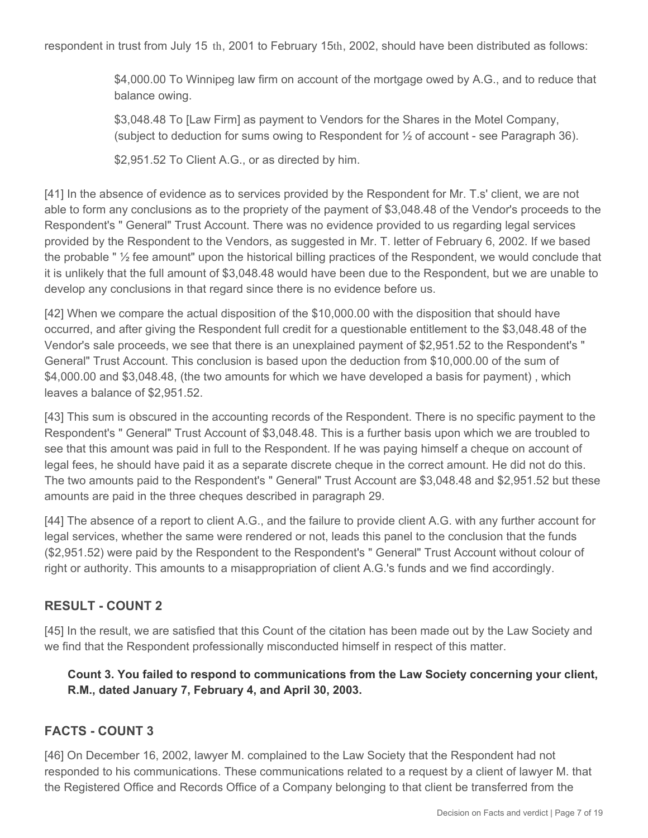respondent in trust from July 15 th, 2001 to February 15th, 2002, should have been distributed as follows:

\$4,000.00 To Winnipeg law firm on account of the mortgage owed by A.G., and to reduce that balance owing.

\$3,048.48 To [Law Firm] as payment to Vendors for the Shares in the Motel Company, (subject to deduction for sums owing to Respondent for  $\frac{1}{2}$  of account - see Paragraph 36).

\$2,951.52 To Client A.G., or as directed by him.

[41] In the absence of evidence as to services provided by the Respondent for Mr. T.s' client, we are not able to form any conclusions as to the propriety of the payment of \$3,048.48 of the Vendor's proceeds to the Respondent's " General" Trust Account. There was no evidence provided to us regarding legal services provided by the Respondent to the Vendors, as suggested in Mr. T. letter of February 6, 2002. If we based the probable " ½ fee amount" upon the historical billing practices of the Respondent, we would conclude that it is unlikely that the full amount of \$3,048.48 would have been due to the Respondent, but we are unable to develop any conclusions in that regard since there is no evidence before us.

[42] When we compare the actual disposition of the \$10,000.00 with the disposition that should have occurred, and after giving the Respondent full credit for a questionable entitlement to the \$3,048.48 of the Vendor's sale proceeds, we see that there is an unexplained payment of \$2,951.52 to the Respondent's " General" Trust Account. This conclusion is based upon the deduction from \$10,000.00 of the sum of \$4,000.00 and \$3,048.48, (the two amounts for which we have developed a basis for payment) , which leaves a balance of \$2,951.52.

[43] This sum is obscured in the accounting records of the Respondent. There is no specific payment to the Respondent's " General" Trust Account of \$3,048.48. This is a further basis upon which we are troubled to see that this amount was paid in full to the Respondent. If he was paying himself a cheque on account of legal fees, he should have paid it as a separate discrete cheque in the correct amount. He did not do this. The two amounts paid to the Respondent's " General" Trust Account are \$3,048.48 and \$2,951.52 but these amounts are paid in the three cheques described in paragraph 29.

[44] The absence of a report to client A.G., and the failure to provide client A.G. with any further account for legal services, whether the same were rendered or not, leads this panel to the conclusion that the funds (\$2,951.52) were paid by the Respondent to the Respondent's " General" Trust Account without colour of right or authority. This amounts to a misappropriation of client A.G.'s funds and we find accordingly.

#### **RESULT - COUNT 2**

[45] In the result, we are satisfied that this Count of the citation has been made out by the Law Society and we find that the Respondent professionally misconducted himself in respect of this matter.

**Count 3. You failed to respond to communications from the Law Society concerning your client, R.M., dated January 7, February 4, and April 30, 2003.**

#### **FACTS - COUNT 3**

[46] On December 16, 2002, lawyer M. complained to the Law Society that the Respondent had not responded to his communications. These communications related to a request by a client of lawyer M. that the Registered Office and Records Office of a Company belonging to that client be transferred from the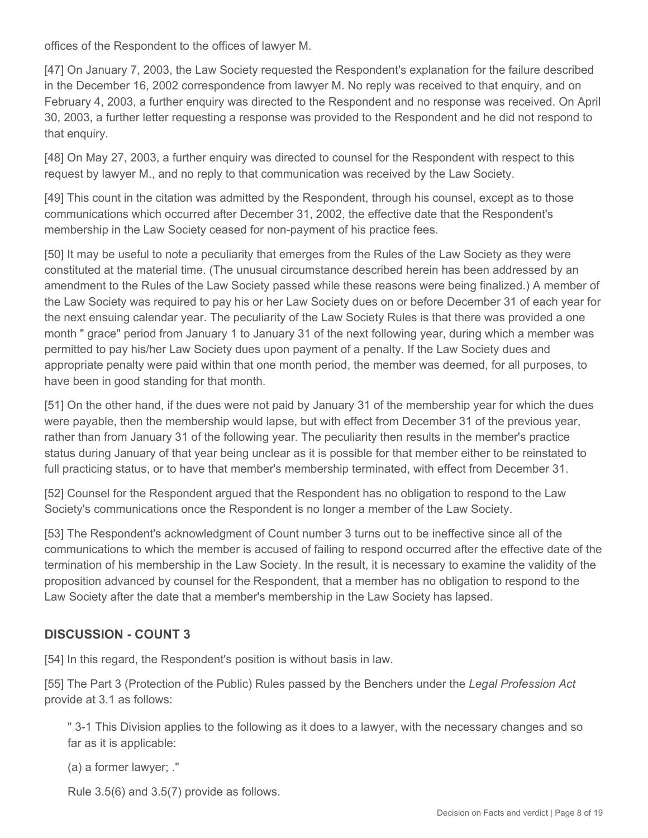offices of the Respondent to the offices of lawyer M.

[47] On January 7, 2003, the Law Society requested the Respondent's explanation for the failure described in the December 16, 2002 correspondence from lawyer M. No reply was received to that enquiry, and on February 4, 2003, a further enquiry was directed to the Respondent and no response was received. On April 30, 2003, a further letter requesting a response was provided to the Respondent and he did not respond to that enquiry.

[48] On May 27, 2003, a further enquiry was directed to counsel for the Respondent with respect to this request by lawyer M., and no reply to that communication was received by the Law Society.

[49] This count in the citation was admitted by the Respondent, through his counsel, except as to those communications which occurred after December 31, 2002, the effective date that the Respondent's membership in the Law Society ceased for non-payment of his practice fees.

[50] It may be useful to note a peculiarity that emerges from the Rules of the Law Society as they were constituted at the material time. (The unusual circumstance described herein has been addressed by an amendment to the Rules of the Law Society passed while these reasons were being finalized.) A member of the Law Society was required to pay his or her Law Society dues on or before December 31 of each year for the next ensuing calendar year. The peculiarity of the Law Society Rules is that there was provided a one month " grace" period from January 1 to January 31 of the next following year, during which a member was permitted to pay his/her Law Society dues upon payment of a penalty. If the Law Society dues and appropriate penalty were paid within that one month period, the member was deemed, for all purposes, to have been in good standing for that month.

[51] On the other hand, if the dues were not paid by January 31 of the membership year for which the dues were payable, then the membership would lapse, but with effect from December 31 of the previous year, rather than from January 31 of the following year. The peculiarity then results in the member's practice status during January of that year being unclear as it is possible for that member either to be reinstated to full practicing status, or to have that member's membership terminated, with effect from December 31.

[52] Counsel for the Respondent argued that the Respondent has no obligation to respond to the Law Society's communications once the Respondent is no longer a member of the Law Society.

[53] The Respondent's acknowledgment of Count number 3 turns out to be ineffective since all of the communications to which the member is accused of failing to respond occurred after the effective date of the termination of his membership in the Law Society. In the result, it is necessary to examine the validity of the proposition advanced by counsel for the Respondent, that a member has no obligation to respond to the Law Society after the date that a member's membership in the Law Society has lapsed.

# **DISCUSSION - COUNT 3**

[54] In this regard, the Respondent's position is without basis in law.

[55] The Part 3 (Protection of the Public) Rules passed by the Benchers under the *Legal Profession Act* provide at 3.1 as follows:

" 3-1 This Division applies to the following as it does to a lawyer, with the necessary changes and so far as it is applicable:

(a) a former lawyer; ."

Rule 3.5(6) and 3.5(7) provide as follows.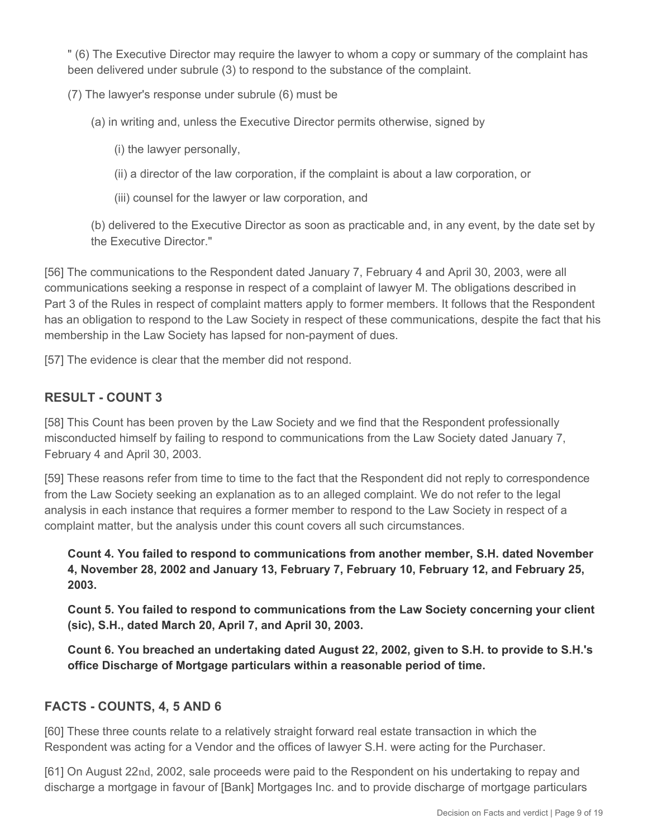" (6) The Executive Director may require the lawyer to whom a copy or summary of the complaint has been delivered under subrule (3) to respond to the substance of the complaint.

(7) The lawyer's response under subrule (6) must be

- (a) in writing and, unless the Executive Director permits otherwise, signed by
	- (i) the lawyer personally,
	- (ii) a director of the law corporation, if the complaint is about a law corporation, or
	- (iii) counsel for the lawyer or law corporation, and

(b) delivered to the Executive Director as soon as practicable and, in any event, by the date set by the Executive Director."

[56] The communications to the Respondent dated January 7, February 4 and April 30, 2003, were all communications seeking a response in respect of a complaint of lawyer M. The obligations described in Part 3 of the Rules in respect of complaint matters apply to former members. It follows that the Respondent has an obligation to respond to the Law Society in respect of these communications, despite the fact that his membership in the Law Society has lapsed for non-payment of dues.

[57] The evidence is clear that the member did not respond.

#### **RESULT - COUNT 3**

[58] This Count has been proven by the Law Society and we find that the Respondent professionally misconducted himself by failing to respond to communications from the Law Society dated January 7, February 4 and April 30, 2003.

[59] These reasons refer from time to time to the fact that the Respondent did not reply to correspondence from the Law Society seeking an explanation as to an alleged complaint. We do not refer to the legal analysis in each instance that requires a former member to respond to the Law Society in respect of a complaint matter, but the analysis under this count covers all such circumstances.

**Count 4. You failed to respond to communications from another member, S.H. dated November 4, November 28, 2002 and January 13, February 7, February 10, February 12, and February 25, 2003.**

**Count 5. You failed to respond to communications from the Law Society concerning your client (sic), S.H., dated March 20, April 7, and April 30, 2003.**

**Count 6. You breached an undertaking dated August 22, 2002, given to S.H. to provide to S.H.'s office Discharge of Mortgage particulars within a reasonable period of time.**

#### **FACTS - COUNTS, 4, 5 AND 6**

[60] These three counts relate to a relatively straight forward real estate transaction in which the Respondent was acting for a Vendor and the offices of lawyer S.H. were acting for the Purchaser.

[61] On August 22nd, 2002, sale proceeds were paid to the Respondent on his undertaking to repay and discharge a mortgage in favour of [Bank] Mortgages Inc. and to provide discharge of mortgage particulars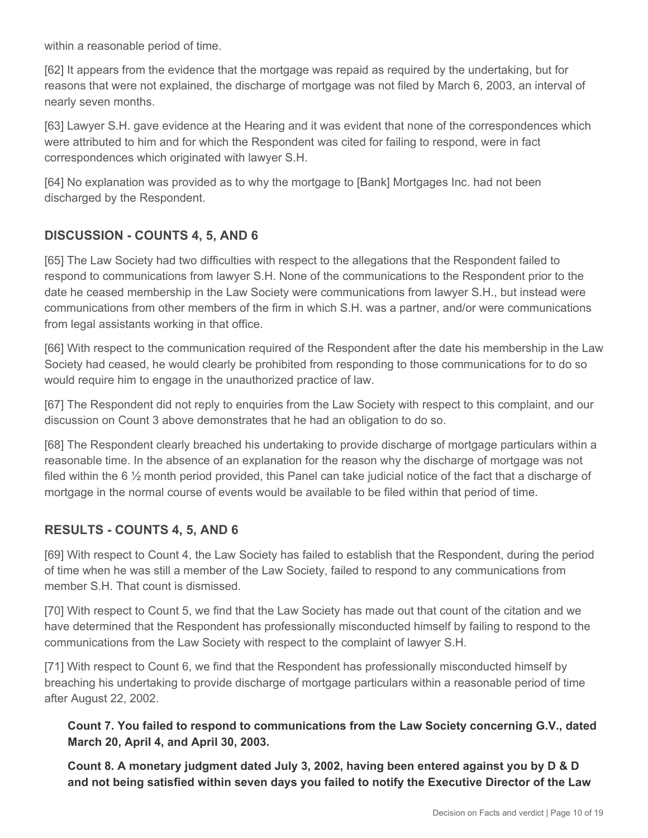within a reasonable period of time.

[62] It appears from the evidence that the mortgage was repaid as required by the undertaking, but for reasons that were not explained, the discharge of mortgage was not filed by March 6, 2003, an interval of nearly seven months.

[63] Lawyer S.H. gave evidence at the Hearing and it was evident that none of the correspondences which were attributed to him and for which the Respondent was cited for failing to respond, were in fact correspondences which originated with lawyer S.H.

[64] No explanation was provided as to why the mortgage to [Bank] Mortgages Inc. had not been discharged by the Respondent.

# **DISCUSSION - COUNTS 4, 5, AND 6**

[65] The Law Society had two difficulties with respect to the allegations that the Respondent failed to respond to communications from lawyer S.H. None of the communications to the Respondent prior to the date he ceased membership in the Law Society were communications from lawyer S.H., but instead were communications from other members of the firm in which S.H. was a partner, and/or were communications from legal assistants working in that office.

[66] With respect to the communication required of the Respondent after the date his membership in the Law Society had ceased, he would clearly be prohibited from responding to those communications for to do so would require him to engage in the unauthorized practice of law.

[67] The Respondent did not reply to enquiries from the Law Society with respect to this complaint, and our discussion on Count 3 above demonstrates that he had an obligation to do so.

[68] The Respondent clearly breached his undertaking to provide discharge of mortgage particulars within a reasonable time. In the absence of an explanation for the reason why the discharge of mortgage was not filed within the 6 ½ month period provided, this Panel can take judicial notice of the fact that a discharge of mortgage in the normal course of events would be available to be filed within that period of time.

# **RESULTS - COUNTS 4, 5, AND 6**

[69] With respect to Count 4, the Law Society has failed to establish that the Respondent, during the period of time when he was still a member of the Law Society, failed to respond to any communications from member S.H. That count is dismissed.

[70] With respect to Count 5, we find that the Law Society has made out that count of the citation and we have determined that the Respondent has professionally misconducted himself by failing to respond to the communications from the Law Society with respect to the complaint of lawyer S.H.

[71] With respect to Count 6, we find that the Respondent has professionally misconducted himself by breaching his undertaking to provide discharge of mortgage particulars within a reasonable period of time after August 22, 2002.

**Count 7. You failed to respond to communications from the Law Society concerning G.V., dated March 20, April 4, and April 30, 2003.**

**Count 8. A monetary judgment dated July 3, 2002, having been entered against you by D & D and not being satisfied within seven days you failed to notify the Executive Director of the Law**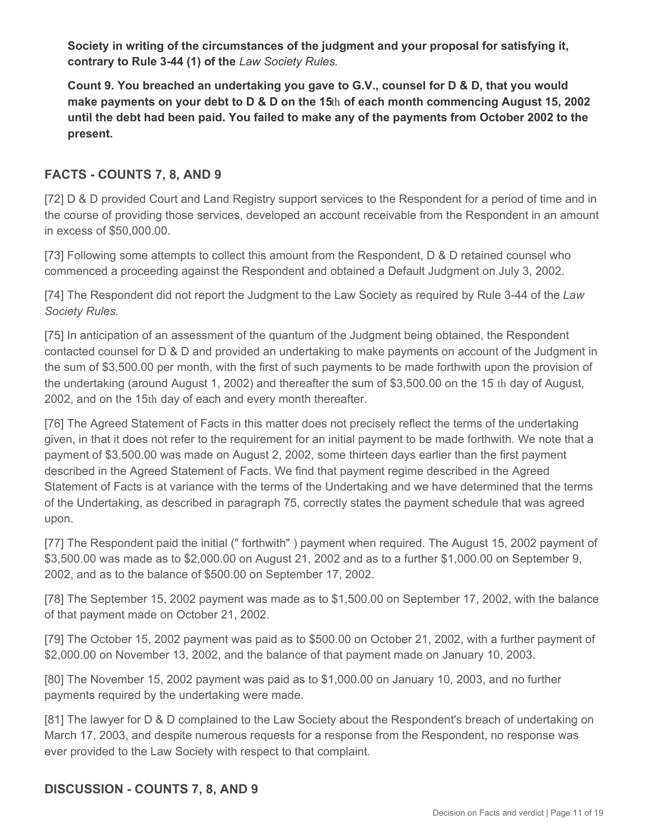**Society in writing of the circumstances of the judgment and your proposal for satisfying it, contrary to Rule 3-44 (1) of the** *Law Society Rules.*

**Count 9. You breached an undertaking you gave to G.V., counsel for D & D, that you would make payments on your debt to D & D on the 15**th **of each month commencing August 15, 2002 until the debt had been paid. You failed to make any of the payments from October 2002 to the present.**

#### **FACTS - COUNTS 7, 8, AND 9**

[72] D & D provided Court and Land Registry support services to the Respondent for a period of time and in the course of providing those services, developed an account receivable from the Respondent in an amount in excess of \$50,000.00.

[73] Following some attempts to collect this amount from the Respondent, D & D retained counsel who commenced a proceeding against the Respondent and obtained a Default Judgment on July 3, 2002.

[74] The Respondent did not report the Judgment to the Law Society as required by Rule 3-44 of the *Law Society Rules.*

[75] In anticipation of an assessment of the quantum of the Judgment being obtained, the Respondent contacted counsel for D & D and provided an undertaking to make payments on account of the Judgment in the sum of \$3,500.00 per month, with the first of such payments to be made forthwith upon the provision of the undertaking (around August 1, 2002) and thereafter the sum of \$3,500.00 on the 15 th day of August, 2002, and on the 15th day of each and every month thereafter.

[76] The Agreed Statement of Facts in this matter does not precisely reflect the terms of the undertaking given, in that it does not refer to the requirement for an initial payment to be made forthwith. We note that a payment of \$3,500.00 was made on August 2, 2002, some thirteen days earlier than the first payment described in the Agreed Statement of Facts. We find that payment regime described in the Agreed Statement of Facts is at variance with the terms of the Undertaking and we have determined that the terms of the Undertaking, as described in paragraph 75, correctly states the payment schedule that was agreed upon.

[77] The Respondent paid the initial (" forthwith" ) payment when required. The August 15, 2002 payment of \$3,500.00 was made as to \$2,000.00 on August 21, 2002 and as to a further \$1,000.00 on September 9, 2002, and as to the balance of \$500.00 on September 17, 2002.

[78] The September 15, 2002 payment was made as to \$1,500.00 on September 17, 2002, with the balance of that payment made on October 21, 2002.

[79] The October 15, 2002 payment was paid as to \$500.00 on October 21, 2002, with a further payment of \$2,000.00 on November 13, 2002, and the balance of that payment made on January 10, 2003.

[80] The November 15, 2002 payment was paid as to \$1,000.00 on January 10, 2003, and no further payments required by the undertaking were made.

[81] The lawyer for D & D complained to the Law Society about the Respondent's breach of undertaking on March 17, 2003, and despite numerous requests for a response from the Respondent, no response was ever provided to the Law Society with respect to that complaint.

# **DISCUSSION - COUNTS 7, 8, AND 9**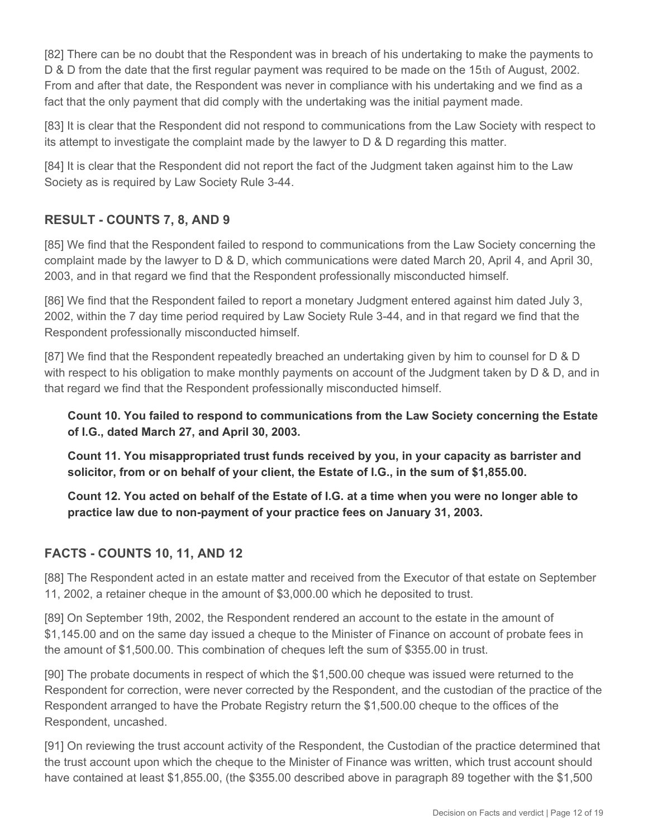[82] There can be no doubt that the Respondent was in breach of his undertaking to make the payments to D & D from the date that the first regular payment was required to be made on the 15th of August, 2002. From and after that date, the Respondent was never in compliance with his undertaking and we find as a fact that the only payment that did comply with the undertaking was the initial payment made.

[83] It is clear that the Respondent did not respond to communications from the Law Society with respect to its attempt to investigate the complaint made by the lawyer to D & D regarding this matter.

[84] It is clear that the Respondent did not report the fact of the Judgment taken against him to the Law Society as is required by Law Society Rule 3-44.

# **RESULT - COUNTS 7, 8, AND 9**

[85] We find that the Respondent failed to respond to communications from the Law Society concerning the complaint made by the lawyer to D & D, which communications were dated March 20, April 4, and April 30, 2003, and in that regard we find that the Respondent professionally misconducted himself.

[86] We find that the Respondent failed to report a monetary Judgment entered against him dated July 3, 2002, within the 7 day time period required by Law Society Rule 3-44, and in that regard we find that the Respondent professionally misconducted himself.

[87] We find that the Respondent repeatedly breached an undertaking given by him to counsel for D & D with respect to his obligation to make monthly payments on account of the Judgment taken by  $D & D$ , and in that regard we find that the Respondent professionally misconducted himself.

**Count 10. You failed to respond to communications from the Law Society concerning the Estate of I.G., dated March 27, and April 30, 2003.**

**Count 11. You misappropriated trust funds received by you, in your capacity as barrister and solicitor, from or on behalf of your client, the Estate of I.G., in the sum of \$1,855.00.**

**Count 12. You acted on behalf of the Estate of I.G. at a time when you were no longer able to practice law due to non-payment of your practice fees on January 31, 2003.**

# **FACTS - COUNTS 10, 11, AND 12**

[88] The Respondent acted in an estate matter and received from the Executor of that estate on September 11, 2002, a retainer cheque in the amount of \$3,000.00 which he deposited to trust.

[89] On September 19th, 2002, the Respondent rendered an account to the estate in the amount of \$1,145.00 and on the same day issued a cheque to the Minister of Finance on account of probate fees in the amount of \$1,500.00. This combination of cheques left the sum of \$355.00 in trust.

[90] The probate documents in respect of which the \$1,500.00 cheque was issued were returned to the Respondent for correction, were never corrected by the Respondent, and the custodian of the practice of the Respondent arranged to have the Probate Registry return the \$1,500.00 cheque to the offices of the Respondent, uncashed.

[91] On reviewing the trust account activity of the Respondent, the Custodian of the practice determined that the trust account upon which the cheque to the Minister of Finance was written, which trust account should have contained at least \$1,855.00, (the \$355.00 described above in paragraph 89 together with the \$1,500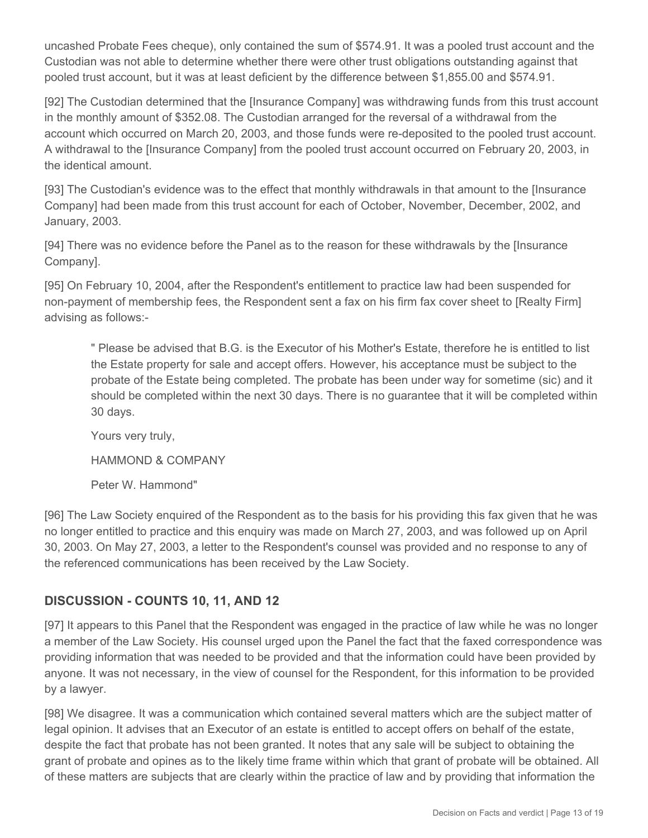uncashed Probate Fees cheque), only contained the sum of \$574.91. It was a pooled trust account and the Custodian was not able to determine whether there were other trust obligations outstanding against that pooled trust account, but it was at least deficient by the difference between \$1,855.00 and \$574.91.

[92] The Custodian determined that the [Insurance Company] was withdrawing funds from this trust account in the monthly amount of \$352.08. The Custodian arranged for the reversal of a withdrawal from the account which occurred on March 20, 2003, and those funds were re-deposited to the pooled trust account. A withdrawal to the [Insurance Company] from the pooled trust account occurred on February 20, 2003, in the identical amount.

[93] The Custodian's evidence was to the effect that monthly withdrawals in that amount to the [Insurance Company] had been made from this trust account for each of October, November, December, 2002, and January, 2003.

[94] There was no evidence before the Panel as to the reason for these withdrawals by the [Insurance Company].

[95] On February 10, 2004, after the Respondent's entitlement to practice law had been suspended for non-payment of membership fees, the Respondent sent a fax on his firm fax cover sheet to [Realty Firm] advising as follows:-

" Please be advised that B.G. is the Executor of his Mother's Estate, therefore he is entitled to list the Estate property for sale and accept offers. However, his acceptance must be subject to the probate of the Estate being completed. The probate has been under way for sometime (sic) and it should be completed within the next 30 days. There is no guarantee that it will be completed within 30 days.

Yours very truly,

HAMMOND & COMPANY

Peter W. Hammond"

[96] The Law Society enquired of the Respondent as to the basis for his providing this fax given that he was no longer entitled to practice and this enquiry was made on March 27, 2003, and was followed up on April 30, 2003. On May 27, 2003, a letter to the Respondent's counsel was provided and no response to any of the referenced communications has been received by the Law Society.

# **DISCUSSION - COUNTS 10, 11, AND 12**

[97] It appears to this Panel that the Respondent was engaged in the practice of law while he was no longer a member of the Law Society. His counsel urged upon the Panel the fact that the faxed correspondence was providing information that was needed to be provided and that the information could have been provided by anyone. It was not necessary, in the view of counsel for the Respondent, for this information to be provided by a lawyer.

[98] We disagree. It was a communication which contained several matters which are the subject matter of legal opinion. It advises that an Executor of an estate is entitled to accept offers on behalf of the estate, despite the fact that probate has not been granted. It notes that any sale will be subject to obtaining the grant of probate and opines as to the likely time frame within which that grant of probate will be obtained. All of these matters are subjects that are clearly within the practice of law and by providing that information the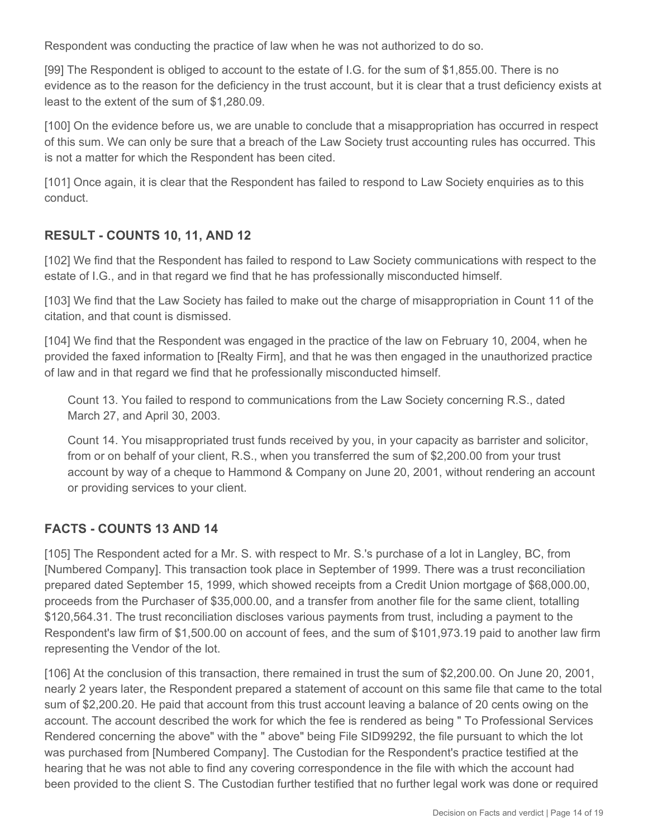Respondent was conducting the practice of law when he was not authorized to do so.

[99] The Respondent is obliged to account to the estate of I.G. for the sum of \$1,855.00. There is no evidence as to the reason for the deficiency in the trust account, but it is clear that a trust deficiency exists at least to the extent of the sum of \$1,280.09.

[100] On the evidence before us, we are unable to conclude that a misappropriation has occurred in respect of this sum. We can only be sure that a breach of the Law Society trust accounting rules has occurred. This is not a matter for which the Respondent has been cited.

[101] Once again, it is clear that the Respondent has failed to respond to Law Society enquiries as to this conduct.

# **RESULT - COUNTS 10, 11, AND 12**

[102] We find that the Respondent has failed to respond to Law Society communications with respect to the estate of I.G., and in that regard we find that he has professionally misconducted himself.

[103] We find that the Law Society has failed to make out the charge of misappropriation in Count 11 of the citation, and that count is dismissed.

[104] We find that the Respondent was engaged in the practice of the law on February 10, 2004, when he provided the faxed information to [Realty Firm], and that he was then engaged in the unauthorized practice of law and in that regard we find that he professionally misconducted himself.

Count 13. You failed to respond to communications from the Law Society concerning R.S., dated March 27, and April 30, 2003.

Count 14. You misappropriated trust funds received by you, in your capacity as barrister and solicitor, from or on behalf of your client, R.S., when you transferred the sum of \$2,200.00 from your trust account by way of a cheque to Hammond & Company on June 20, 2001, without rendering an account or providing services to your client.

# **FACTS - COUNTS 13 AND 14**

[105] The Respondent acted for a Mr. S. with respect to Mr. S.'s purchase of a lot in Langley, BC, from [Numbered Company]. This transaction took place in September of 1999. There was a trust reconciliation prepared dated September 15, 1999, which showed receipts from a Credit Union mortgage of \$68,000.00, proceeds from the Purchaser of \$35,000.00, and a transfer from another file for the same client, totalling \$120,564.31. The trust reconciliation discloses various payments from trust, including a payment to the Respondent's law firm of \$1,500.00 on account of fees, and the sum of \$101,973.19 paid to another law firm representing the Vendor of the lot.

[106] At the conclusion of this transaction, there remained in trust the sum of \$2,200.00. On June 20, 2001, nearly 2 years later, the Respondent prepared a statement of account on this same file that came to the total sum of \$2,200.20. He paid that account from this trust account leaving a balance of 20 cents owing on the account. The account described the work for which the fee is rendered as being " To Professional Services Rendered concerning the above" with the " above" being File SID99292, the file pursuant to which the lot was purchased from [Numbered Company]. The Custodian for the Respondent's practice testified at the hearing that he was not able to find any covering correspondence in the file with which the account had been provided to the client S. The Custodian further testified that no further legal work was done or required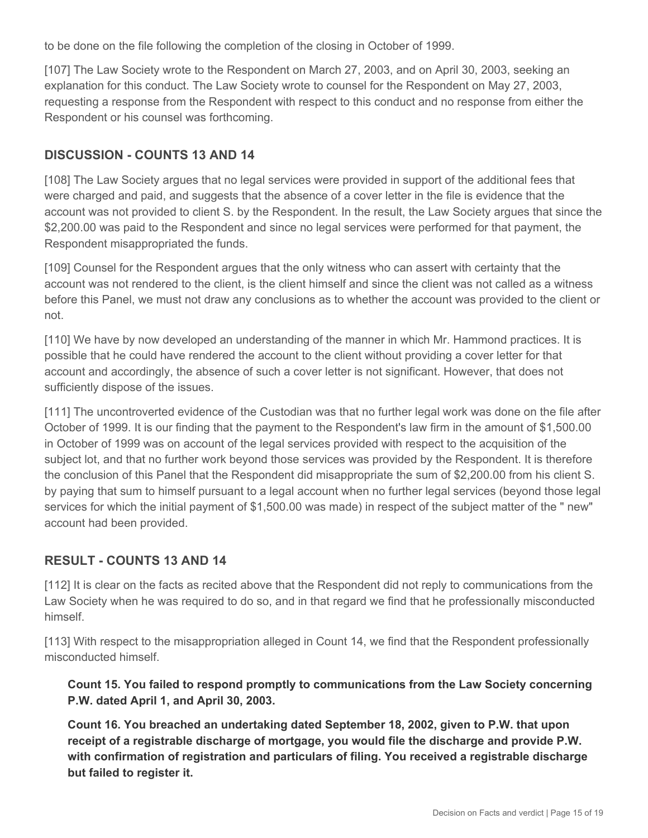to be done on the file following the completion of the closing in October of 1999.

[107] The Law Society wrote to the Respondent on March 27, 2003, and on April 30, 2003, seeking an explanation for this conduct. The Law Society wrote to counsel for the Respondent on May 27, 2003, requesting a response from the Respondent with respect to this conduct and no response from either the Respondent or his counsel was forthcoming.

#### **DISCUSSION - COUNTS 13 AND 14**

[108] The Law Society argues that no legal services were provided in support of the additional fees that were charged and paid, and suggests that the absence of a cover letter in the file is evidence that the account was not provided to client S. by the Respondent. In the result, the Law Society argues that since the \$2,200.00 was paid to the Respondent and since no legal services were performed for that payment, the Respondent misappropriated the funds.

[109] Counsel for the Respondent argues that the only witness who can assert with certainty that the account was not rendered to the client, is the client himself and since the client was not called as a witness before this Panel, we must not draw any conclusions as to whether the account was provided to the client or not.

[110] We have by now developed an understanding of the manner in which Mr. Hammond practices. It is possible that he could have rendered the account to the client without providing a cover letter for that account and accordingly, the absence of such a cover letter is not significant. However, that does not sufficiently dispose of the issues.

[111] The uncontroverted evidence of the Custodian was that no further legal work was done on the file after October of 1999. It is our finding that the payment to the Respondent's law firm in the amount of \$1,500.00 in October of 1999 was on account of the legal services provided with respect to the acquisition of the subject lot, and that no further work beyond those services was provided by the Respondent. It is therefore the conclusion of this Panel that the Respondent did misappropriate the sum of \$2,200.00 from his client S. by paying that sum to himself pursuant to a legal account when no further legal services (beyond those legal services for which the initial payment of \$1,500.00 was made) in respect of the subject matter of the " new" account had been provided.

# **RESULT - COUNTS 13 AND 14**

[112] It is clear on the facts as recited above that the Respondent did not reply to communications from the Law Society when he was required to do so, and in that regard we find that he professionally misconducted himself.

[113] With respect to the misappropriation alleged in Count 14, we find that the Respondent professionally misconducted himself.

**Count 15. You failed to respond promptly to communications from the Law Society concerning P.W. dated April 1, and April 30, 2003.**

**Count 16. You breached an undertaking dated September 18, 2002, given to P.W. that upon receipt of a registrable discharge of mortgage, you would file the discharge and provide P.W. with confirmation of registration and particulars of filing. You received a registrable discharge but failed to register it.**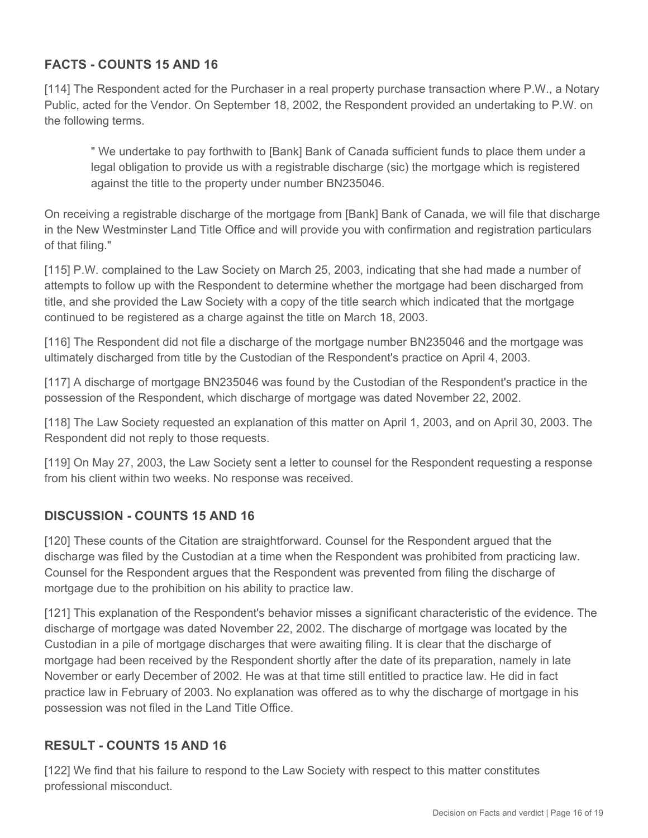# **FACTS - COUNTS 15 AND 16**

[114] The Respondent acted for the Purchaser in a real property purchase transaction where P.W., a Notary Public, acted for the Vendor. On September 18, 2002, the Respondent provided an undertaking to P.W. on the following terms.

" We undertake to pay forthwith to [Bank] Bank of Canada sufficient funds to place them under a legal obligation to provide us with a registrable discharge (sic) the mortgage which is registered against the title to the property under number BN235046.

On receiving a registrable discharge of the mortgage from [Bank] Bank of Canada, we will file that discharge in the New Westminster Land Title Office and will provide you with confirmation and registration particulars of that filing."

[115] P.W. complained to the Law Society on March 25, 2003, indicating that she had made a number of attempts to follow up with the Respondent to determine whether the mortgage had been discharged from title, and she provided the Law Society with a copy of the title search which indicated that the mortgage continued to be registered as a charge against the title on March 18, 2003.

[116] The Respondent did not file a discharge of the mortgage number BN235046 and the mortgage was ultimately discharged from title by the Custodian of the Respondent's practice on April 4, 2003.

[117] A discharge of mortgage BN235046 was found by the Custodian of the Respondent's practice in the possession of the Respondent, which discharge of mortgage was dated November 22, 2002.

[118] The Law Society requested an explanation of this matter on April 1, 2003, and on April 30, 2003. The Respondent did not reply to those requests.

[119] On May 27, 2003, the Law Society sent a letter to counsel for the Respondent requesting a response from his client within two weeks. No response was received.

# **DISCUSSION - COUNTS 15 AND 16**

[120] These counts of the Citation are straightforward. Counsel for the Respondent argued that the discharge was filed by the Custodian at a time when the Respondent was prohibited from practicing law. Counsel for the Respondent argues that the Respondent was prevented from filing the discharge of mortgage due to the prohibition on his ability to practice law.

[121] This explanation of the Respondent's behavior misses a significant characteristic of the evidence. The discharge of mortgage was dated November 22, 2002. The discharge of mortgage was located by the Custodian in a pile of mortgage discharges that were awaiting filing. It is clear that the discharge of mortgage had been received by the Respondent shortly after the date of its preparation, namely in late November or early December of 2002. He was at that time still entitled to practice law. He did in fact practice law in February of 2003. No explanation was offered as to why the discharge of mortgage in his possession was not filed in the Land Title Office.

# **RESULT - COUNTS 15 AND 16**

[122] We find that his failure to respond to the Law Society with respect to this matter constitutes professional misconduct.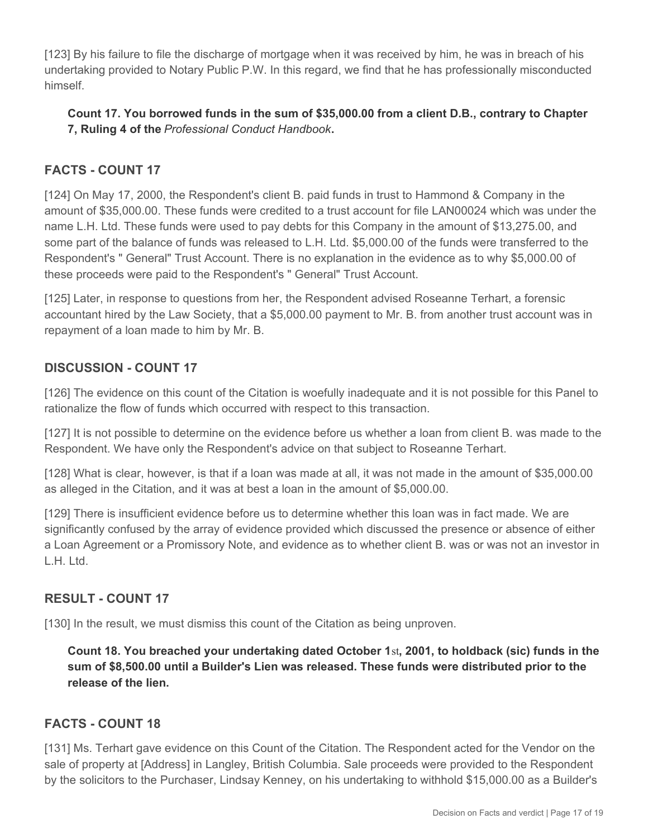[123] By his failure to file the discharge of mortgage when it was received by him, he was in breach of his undertaking provided to Notary Public P.W. In this regard, we find that he has professionally misconducted himself.

#### **Count 17. You borrowed funds in the sum of \$35,000.00 from a client D.B., contrary to Chapter 7, Ruling 4 of the** *Professional Conduct Handbook***.**

# **FACTS - COUNT 17**

[124] On May 17, 2000, the Respondent's client B. paid funds in trust to Hammond & Company in the amount of \$35,000.00. These funds were credited to a trust account for file LAN00024 which was under the name L.H. Ltd. These funds were used to pay debts for this Company in the amount of \$13,275.00, and some part of the balance of funds was released to L.H. Ltd. \$5,000.00 of the funds were transferred to the Respondent's " General" Trust Account. There is no explanation in the evidence as to why \$5,000.00 of these proceeds were paid to the Respondent's " General" Trust Account.

[125] Later, in response to questions from her, the Respondent advised Roseanne Terhart, a forensic accountant hired by the Law Society, that a \$5,000.00 payment to Mr. B. from another trust account was in repayment of a loan made to him by Mr. B.

# **DISCUSSION - COUNT 17**

[126] The evidence on this count of the Citation is woefully inadequate and it is not possible for this Panel to rationalize the flow of funds which occurred with respect to this transaction.

[127] It is not possible to determine on the evidence before us whether a loan from client B. was made to the Respondent. We have only the Respondent's advice on that subject to Roseanne Terhart.

[128] What is clear, however, is that if a loan was made at all, it was not made in the amount of \$35,000.00 as alleged in the Citation, and it was at best a loan in the amount of \$5,000.00.

[129] There is insufficient evidence before us to determine whether this loan was in fact made. We are significantly confused by the array of evidence provided which discussed the presence or absence of either a Loan Agreement or a Promissory Note, and evidence as to whether client B. was or was not an investor in L.H. Ltd.

# **RESULT - COUNT 17**

[130] In the result, we must dismiss this count of the Citation as being unproven.

**Count 18. You breached your undertaking dated October 1**st**, 2001, to holdback (sic) funds in the sum of \$8,500.00 until a Builder's Lien was released. These funds were distributed prior to the release of the lien.**

# **FACTS - COUNT 18**

[131] Ms. Terhart gave evidence on this Count of the Citation. The Respondent acted for the Vendor on the sale of property at [Address] in Langley, British Columbia. Sale proceeds were provided to the Respondent by the solicitors to the Purchaser, Lindsay Kenney, on his undertaking to withhold \$15,000.00 as a Builder's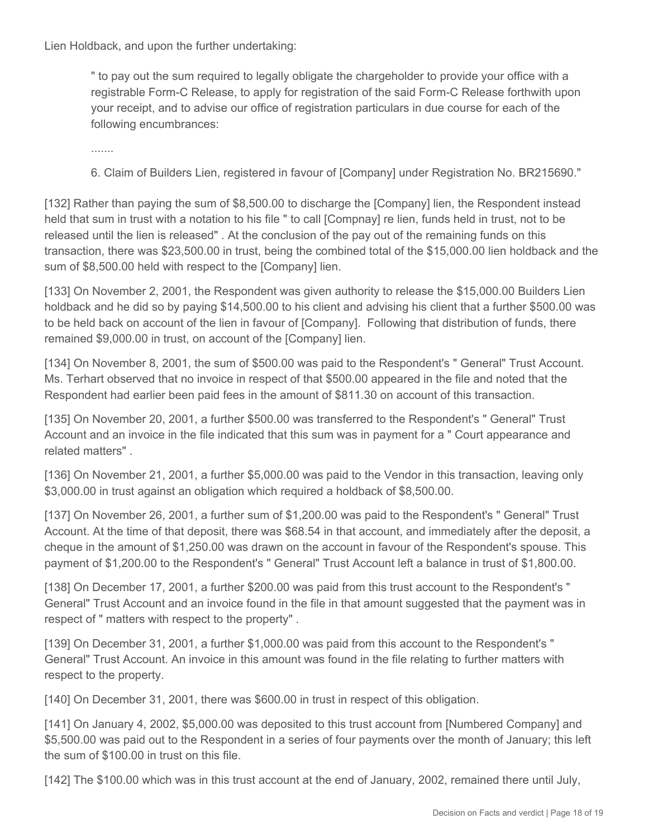Lien Holdback, and upon the further undertaking:

" to pay out the sum required to legally obligate the chargeholder to provide your office with a registrable Form-C Release, to apply for registration of the said Form-C Release forthwith upon your receipt, and to advise our office of registration particulars in due course for each of the following encumbrances:

.......

6. Claim of Builders Lien, registered in favour of [Company] under Registration No. BR215690."

[132] Rather than paying the sum of \$8,500.00 to discharge the [Company] lien, the Respondent instead held that sum in trust with a notation to his file " to call [Compnay] re lien, funds held in trust, not to be released until the lien is released" . At the conclusion of the pay out of the remaining funds on this transaction, there was \$23,500.00 in trust, being the combined total of the \$15,000.00 lien holdback and the sum of \$8,500.00 held with respect to the [Company] lien.

[133] On November 2, 2001, the Respondent was given authority to release the \$15,000.00 Builders Lien holdback and he did so by paying \$14,500.00 to his client and advising his client that a further \$500.00 was to be held back on account of the lien in favour of [Company]. Following that distribution of funds, there remained \$9,000.00 in trust, on account of the [Company] lien.

[134] On November 8, 2001, the sum of \$500.00 was paid to the Respondent's " General" Trust Account. Ms. Terhart observed that no invoice in respect of that \$500.00 appeared in the file and noted that the Respondent had earlier been paid fees in the amount of \$811.30 on account of this transaction.

[135] On November 20, 2001, a further \$500.00 was transferred to the Respondent's " General" Trust Account and an invoice in the file indicated that this sum was in payment for a " Court appearance and related matters" .

[136] On November 21, 2001, a further \$5,000.00 was paid to the Vendor in this transaction, leaving only \$3,000.00 in trust against an obligation which required a holdback of \$8,500.00.

[137] On November 26, 2001, a further sum of \$1,200.00 was paid to the Respondent's " General" Trust Account. At the time of that deposit, there was \$68.54 in that account, and immediately after the deposit, a cheque in the amount of \$1,250.00 was drawn on the account in favour of the Respondent's spouse. This payment of \$1,200.00 to the Respondent's " General" Trust Account left a balance in trust of \$1,800.00.

[138] On December 17, 2001, a further \$200.00 was paid from this trust account to the Respondent's " General" Trust Account and an invoice found in the file in that amount suggested that the payment was in respect of " matters with respect to the property" .

[139] On December 31, 2001, a further \$1,000.00 was paid from this account to the Respondent's " General" Trust Account. An invoice in this amount was found in the file relating to further matters with respect to the property.

[140] On December 31, 2001, there was \$600.00 in trust in respect of this obligation.

[141] On January 4, 2002, \$5,000.00 was deposited to this trust account from [Numbered Company] and \$5,500.00 was paid out to the Respondent in a series of four payments over the month of January; this left the sum of \$100.00 in trust on this file.

[142] The \$100.00 which was in this trust account at the end of January, 2002, remained there until July,